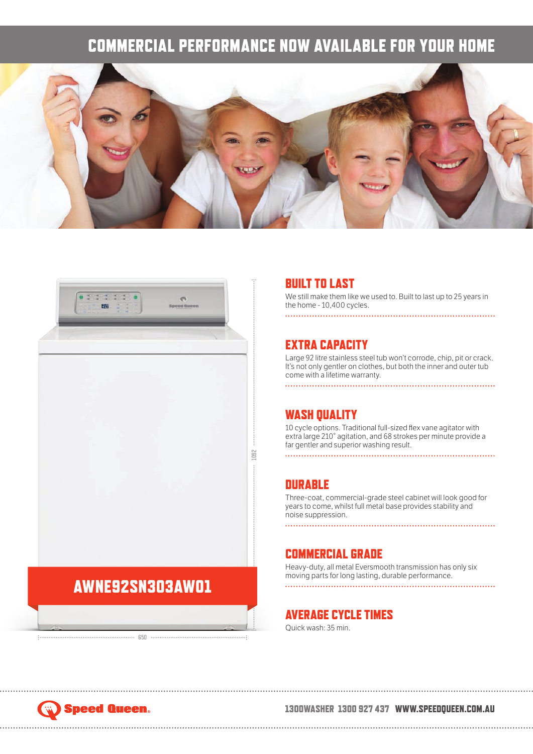### COMMERCIAL PERFORMANCE NOW AVAILABLE FOR YOUR HOME





## AWNE92SN303AWO1

650

#### BUILT TO LAST

We still make them like we used to. Built to last up to 25 years in the home - 10,400 cycles.

#### EXTRA CAPACITY

Large 92 litre stainless steel tub won't corrode, chip, pit or crack. It's not only gentler on clothes, but both the inner and outer tub come with a lifetime warranty.

#### WASH QUALITY

10 cycle options. Traditional full-sized flex vane agitator with extra large 210° agitation, and 68 strokes per minute provide a far gentler and superior washing result.

#### **DURABLE**

Three-coat, commercial-grade steel cabinet will look good for years to come, whilst full metal base provides stability and noise suppression.

#### COMMERCIAL GRADE

Heavy-duty, all metal Eversmooth transmission has only six moving parts for long lasting, durable performance.

#### AVERAGE CYCLE TIMES

Quick wash: 35 min.

## **Speed Queen.**

#### 1300WASHER 1300 927 437 WWW.SPEEDQUEEN.COM.AU